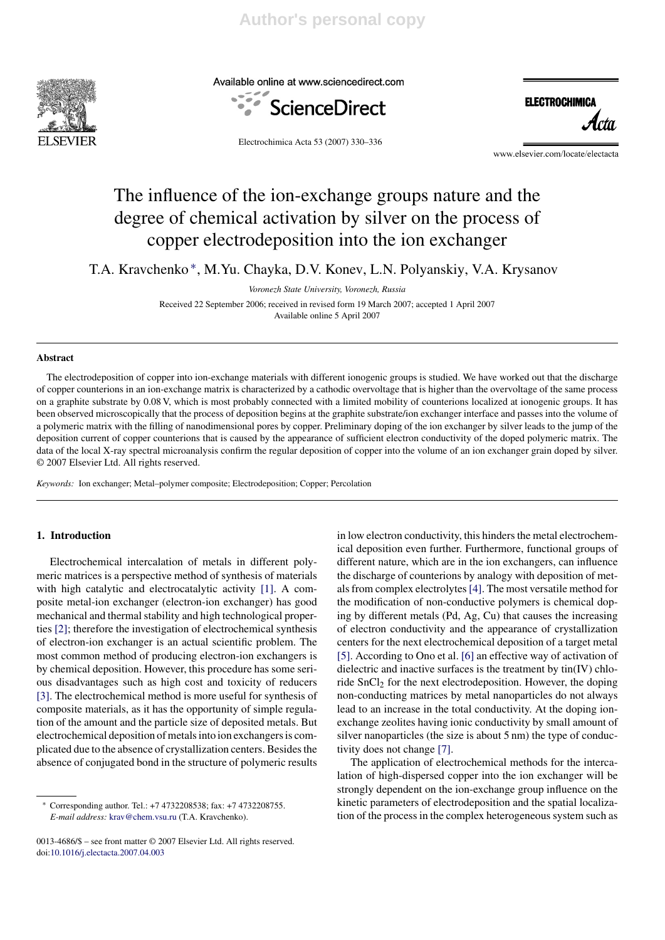

Available online at www.sciencedirect.com





Electrochimica Acta 53 (2007) 330–336

www.elsevier.com/locate/electacta

# The influence of the ion-exchange groups nature and the degree of chemical activation by silver on the process of copper electrodeposition into the ion exchanger

T.A. Kravchenko ∗, M.Yu. Chayka, D.V. Konev, L.N. Polyanskiy, V.A. Krysanov

*Voronezh State University, Voronezh, Russia* Received 22 September 2006; received in revised form 19 March 2007; accepted 1 April 2007 Available online 5 April 2007

#### **Abstract**

The electrodeposition of copper into ion-exchange materials with different ionogenic groups is studied. We have worked out that the discharge of copper counterions in an ion-exchange matrix is characterized by a cathodic overvoltage that is higher than the overvoltage of the same process on a graphite substrate by 0.08 V, which is most probably connected with a limited mobility of counterions localized at ionogenic groups. It has been observed microscopically that the process of deposition begins at the graphite substrate/ion exchanger interface and passes into the volume of a polymeric matrix with the filling of nanodimensional pores by copper. Preliminary doping of the ion exchanger by silver leads to the jump of the deposition current of copper counterions that is caused by the appearance of sufficient electron conductivity of the doped polymeric matrix. The data of the local X-ray spectral microanalysis confirm the regular deposition of copper into the volume of an ion exchanger grain doped by silver. © 2007 Elsevier Ltd. All rights reserved.

*Keywords:* Ion exchanger; Metal–polymer composite; Electrodeposition; Copper; Percolation

## **1. Introduction**

Electrochemical intercalation of metals in different polymeric matrices is a perspective method of synthesis of materials with high catalytic and electrocatalytic activity [1]. A composite metal-ion exchanger (electron-ion exchanger) has good mechanical and thermal stability and high technological properties [2]; therefore the investigation of electrochemical synthesis of electron-ion exchanger is an actual scientific problem. The most common method of producing electron-ion exchangers is by chemical deposition. However, this procedure has some serious disadvantages such as high cost and toxicity of reducers [3]. The electrochemical method is more useful for synthesis of composite materials, as it has the opportunity of simple regulation of the amount and the particle size of deposited metals. But electrochemical deposition of metals into ion exchangers is complicated due to the absence of crystallization centers. Besides the absence of conjugated bond in the structure of polymeric results in low electron conductivity, this hinders the metal electrochemical deposition even further. Furthermore, functional groups of different nature, which are in the ion exchangers, can influence the discharge of counterions by analogy with deposition of metals from complex electrolytes[4]. The most versatile method for the modification of non-conductive polymers is chemical doping by different metals (Pd, Ag, Cu) that causes the increasing of electron conductivity and the appearance of crystallization centers for the next electrochemical deposition of a target metal [5]. According to Ono et al. [6] an effective way of activation of dielectric and inactive surfaces is the treatment by tin(IV) chloride  $SnCl<sub>2</sub>$  for the next electrodeposition. However, the doping non-conducting matrices by metal nanoparticles do not always lead to an increase in the total conductivity. At the doping ionexchange zeolites having ionic conductivity by small amount of silver nanoparticles (the size is about 5 nm) the type of conductivity does not change [7].

The application of electrochemical methods for the intercalation of high-dispersed copper into the ion exchanger will be strongly dependent on the ion-exchange group influence on the kinetic parameters of electrodeposition and the spatial localization of the process in the complex heterogeneous system such as

<sup>∗</sup> Corresponding author. Tel.: +7 4732208538; fax: +7 4732208755. *E-mail address:* krav@chem.vsu.ru (T.A. Kravchenko).

<sup>0013-4686/\$ –</sup> see front matter © 2007 Elsevier Ltd. All rights reserved. doi:10.1016/j.electacta.2007.04.003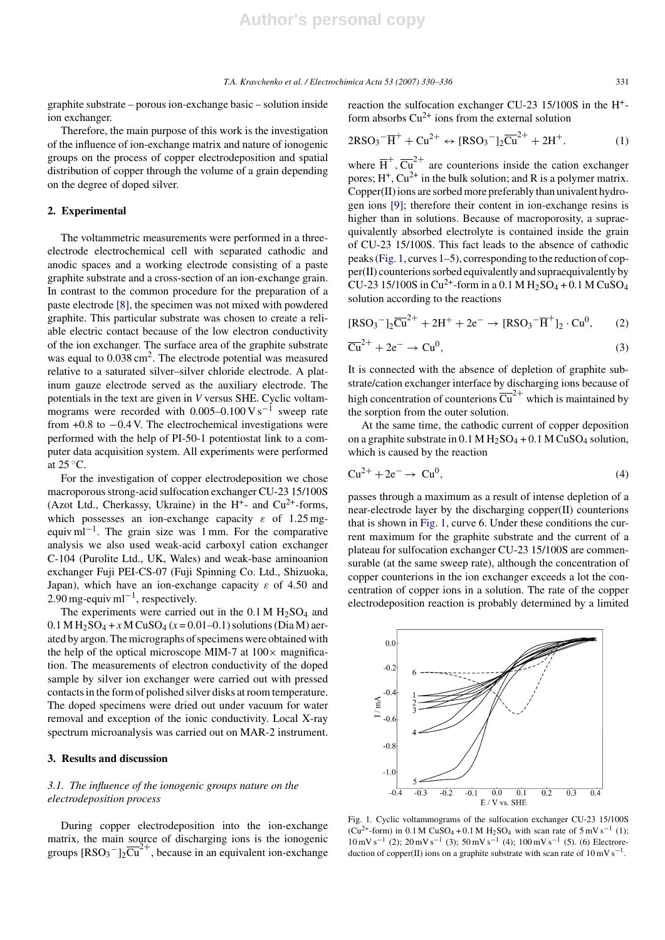graphite substrate – porous ion-exchange basic – solution inside ion exchanger.

Therefore, the main purpose of this work is the investigation of the influence of ion-exchange matrix and nature of ionogenic groups on the process of copper electrodeposition and spatial distribution of copper through the volume of a grain depending on the degree of doped silver.

### **2. Experimental**

The voltammetric measurements were performed in a threeelectrode electrochemical cell with separated cathodic and anodic spaces and a working electrode consisting of a paste graphite substrate and a cross-section of an ion-exchange grain. In contrast to the common procedure for the preparation of a paste electrode [8], the specimen was not mixed with powdered graphite. This particular substrate was chosen to create a reliable electric contact because of the low electron conductivity of the ion exchanger. The surface area of the graphite substrate was equal to  $0.038 \text{ cm}^2$ . The electrode potential was measured relative to a saturated silver–silver chloride electrode. A platinum gauze electrode served as the auxiliary electrode. The potentials in the text are given in *V* versus SHE. Cyclic voltammograms were recorded with  $0.005-0.100$  V s<sup>-1</sup> sweep rate from  $+0.8$  to  $-0.4$  V. The electrochemical investigations were performed with the help of PI-50-1 potentiostat link to a computer data acquisition system. All experiments were performed at  $25^{\circ}$ C.

For the investigation of copper electrodeposition we chose macroporous strong-acid sulfocation exchanger CU-23 15/100S (Azot Ltd., Cherkassy, Ukraine) in the  $H^+$ - and Cu<sup>2+</sup>-forms, which possesses an ion-exchange capacity  $\varepsilon$  of 1.25 mgequiv ml−1. The grain size was 1 mm. For the comparative analysis we also used weak-acid carboxyl cation exchanger C-104 (Purolite Ltd., UK, Wales) and weak-base aminoanion exchanger Fuji PEI-CS-07 (Fuji Spinning Co. Ltd., Shizuoka, Japan), which have an ion-exchange capacity  $\varepsilon$  of 4.50 and  $2.90$  mg-equiv ml<sup>-1</sup>, respectively.

The experiments were carried out in the  $0.1 M H<sub>2</sub>SO<sub>4</sub>$  and  $0.1 M H_2SO_4 + x M CuSO_4 (x = 0.01 - 0.1)$  solutions (Dia M) aerated by argon. The micrographs of specimens were obtained with the help of the optical microscope MIM-7 at  $100 \times$  magnification. The measurements of electron conductivity of the doped sample by silver ion exchanger were carried out with pressed contacts in the form of polished silver disks at room temperature. The doped specimens were dried out under vacuum for water removal and exception of the ionic conductivity. Local X-ray spectrum microanalysis was carried out on MAR-2 instrument.

## **3. Results and discussion**

# *3.1. The influence of the ionogenic groups nature on the electrodeposition process*

During copper electrodeposition into the ion-exchange matrix, the main source of discharging ions is the ionogenic groups  $[RSO_3^-]_2\overline{Cu}^{2+}$ , because in an equivalent ion-exchange

reaction the sulfocation exchanger CU-23 15/100S in the H+ form absorbs  $Cu^{2+}$  ions from the external solution

$$
2\text{RSO}_3^-\overline{\text{H}}^+ + \text{Cu}^{2+} \leftrightarrow \text{[RSO}_3^-]_2\overline{\text{Cu}}^{2+} + 2\text{H}^+. \tag{1}
$$

where  $\overline{H}^+$ ,  $\overline{Cu}^{2+}$  are counterions inside the cation exchanger pores;  $H^+$ ,  $Cu^{2+}$  in the bulk solution; and R is a polymer matrix. Copper(II) ions are sorbed more preferably than univalent hydrogen ions [9]; therefore their content in ion-exchange resins is higher than in solutions. Because of macroporosity, a supraequivalently absorbed electrolyte is contained inside the grain of CU-23 15/100S. This fact leads to the absence of cathodic peaks (Fig. 1, curves 1–5), corresponding to the reduction of copper(II) counterions sorbed equivalently and supraequivalently by CU-23 15/100S in Cu<sup>2+</sup>-form in a 0.1 M H<sub>2</sub>SO<sub>4</sub> + 0.1 M CuSO<sub>4</sub> solution according to the reactions

$$
[\text{RSO}_3^-]_2\overline{\text{Cu}}^{2+} + 2\text{H}^+ + 2\text{e}^- \rightarrow [\text{RSO}_3^- \overline{\text{H}}^+]_2 \cdot \text{Cu}^0,\tag{2}
$$

$$
\overline{\mathrm{Cu}}^{2+} + 2\mathrm{e}^- \to \mathrm{Cu}^0,\tag{3}
$$

It is connected with the absence of depletion of graphite substrate/cation exchanger interface by discharging ions because of high concentration of counterions  $\overline{\text{Cu}}^{2+}$  which is maintained by the sorption from the outer solution.

At the same time, the cathodic current of copper deposition on a graphite substrate in  $0.1 M H_2SO_4 + 0.1 M CuSO_4$  solution, which is caused by the reaction

$$
Cu^{2+} + 2e^- \rightarrow Cu^0,
$$
 (4)

passes through a maximum as a result of intense depletion of a near-electrode layer by the discharging copper(II) counterions that is shown in Fig. 1, curve 6. Under these conditions the current maximum for the graphite substrate and the current of a plateau for sulfocation exchanger CU-23 15/100S are commensurable (at the same sweep rate), although the concentration of copper counterions in the ion exchanger exceeds a lot the concentration of copper ions in a solution. The rate of the copper electrodeposition reaction is probably determined by a limited

Fig. 1. Cyclic voltammograms of the sulfocation exchanger CU-23 15/100S (Cu<sup>2+</sup>-form) in 0.1 M CuSO<sub>4</sub> + 0.1 M H<sub>2</sub>SO<sub>4</sub> with scan rate of 5 mV s<sup>-1</sup> (1);  $10 \,\mathrm{mV\,s^{-1}}$  (2);  $20 \,\mathrm{mV\,s^{-1}}$  (3);  $50 \,\mathrm{mV\,s^{-1}}$  (4);  $100 \,\mathrm{mV\,s^{-1}}$  (5). (6) Electroreduction of copper(II) ions on a graphite substrate with scan rate of  $10 \text{ mV s}^{-1}$ .

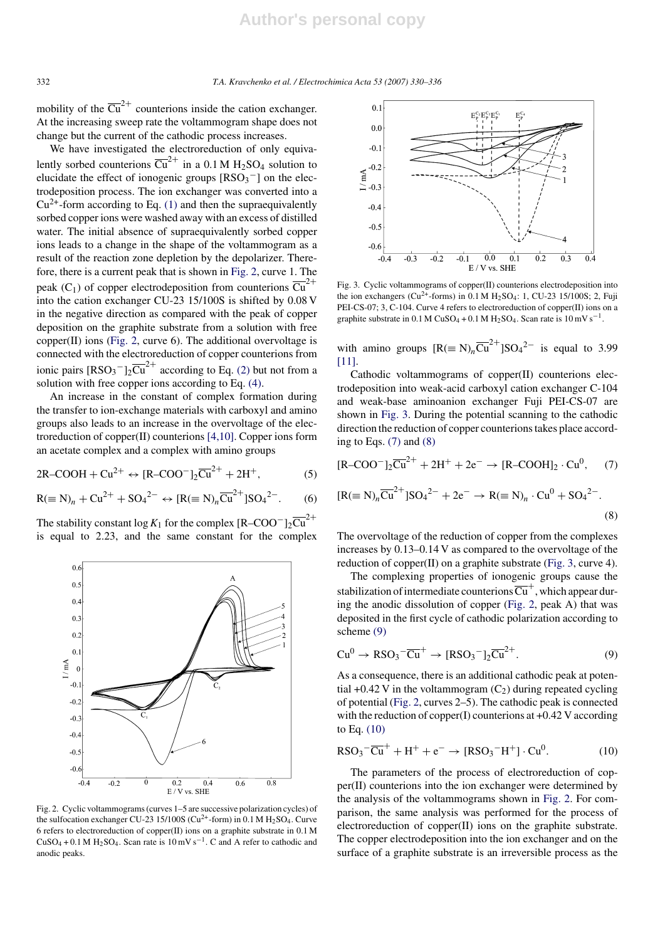mobility of the  $\overline{\text{Cu}}^{2+}$  counterions inside the cation exchanger. At the increasing sweep rate the voltammogram shape does not change but the current of the cathodic process increases.

We have investigated the electroreduction of only equivalently sorbed counterions  $\overline{Cu}^{2+}$  in a 0.1 M H<sub>2</sub>SO<sub>4</sub> solution to elucidate the effect of ionogenic groups  $[RSO_3^-]$  on the electrodeposition process. The ion exchanger was converted into a  $Cu^{2+}$ -form according to Eq. (1) and then the supraequivalently sorbed copper ions were washed away with an excess of distilled water. The initial absence of supraequivalently sorbed copper ions leads to a change in the shape of the voltammogram as a result of the reaction zone depletion by the depolarizer. Therefore, there is a current peak that is shown in Fig. 2, curve 1. The peak (C<sub>1</sub>) of copper electrodeposition from counterions  $\overline{\text{Cu}}^{2+}$ into the cation exchanger CU-23 15/100S is shifted by 0.08 V in the negative direction as compared with the peak of copper deposition on the graphite substrate from a solution with free copper(II) ions (Fig. 2, curve 6). The additional overvoltage is connected with the electroreduction of copper counterions from ionic pairs  $[RSO_3^-]_2\overline{Cu}^{2+}$  according to Eq. (2) but not from a solution with free copper ions according to Eq. (4).

An increase in the constant of complex formation during the transfer to ion-exchange materials with carboxyl and amino groups also leads to an increase in the overvoltage of the electroreduction of copper(II) counterions [4,10]. Copper ions form an acetate complex and a complex with amino groups

$$
2R\text{-COOH} + Cu^{2+} \leftrightarrow [R\text{-COO}^-]_2\overline{Cu}^{2+} + 2H^+, \tag{5}
$$

$$
R (\equiv N)_n + Cu^{2+} + SO_4{}^{2-} \leftrightarrow [R (\equiv N)_n \overline{Cu}^{2+} ] SO_4{}^{2-}.
$$
 (6)

The stability constant  $\log K_1$  for the complex  $[R-COO^-]_2\overline{Cu}^{2+}$ is equal to 2.23, and the same constant for the complex



Fig. 2. Cyclic voltammograms (curves 1–5 are successive polarization cycles) of the sulfocation exchanger CU-23 15/100S ( $Cu^{2+}$ -form) in 0.1 M H<sub>2</sub>SO<sub>4</sub>. Curve 6 refers to electroreduction of copper(II) ions on a graphite substrate in 0.1 M  $CuSO_4 + 0.1 M H_2SO_4$ . Scan rate is  $10 \text{ mV s}^{-1}$ . C and A refer to cathodic and anodic peaks.



Fig. 3. Cyclic voltammograms of copper(II) counterions electrodeposition into the ion exchangers ( $Cu^{2+}$ -forms) in 0.1 M H<sub>2</sub>SO<sub>4</sub>: 1, CU-23 15/100S; 2, Fuji PEI-CS-07; 3, C-104. Curve 4 refers to electroreduction of copper(II) ions on a graphite substrate in  $0.1 M C$ uSO<sub>4</sub> +  $0.1 M H_2$ SO<sub>4</sub>. Scan rate is  $10 mV s^{-1}$ .

with amino groups  $[R (\equiv N)_n \overline{Cu}^{2+} ] SO_4{}^{2-}$  is equal to 3.99 [11].

Cathodic voltammograms of copper(II) counterions electrodeposition into weak-acid carboxyl cation exchanger C-104 and weak-base aminoanion exchanger Fuji PEI-CS-07 are shown in Fig. 3. During the potential scanning to the cathodic direction the reduction of copper counterions takes place according to Eqs.  $(7)$  and  $(8)$ 

$$
[R-COO^{-}]_{2}\overline{Cu}^{2+} + 2H^{+} + 2e^{-} \rightarrow [R-COOH]_{2} \cdot Cu^{0}, \quad (7)
$$
  

$$
[R(\equiv N)_{n}\overline{Cu}^{2+}]SO_{4}^{2-} + 2e^{-} \rightarrow R(\equiv N)_{n} \cdot Cu^{0} + SO_{4}^{2-}.
$$
  
(8)

The overvoltage of the reduction of copper from the complexes increases by 0.13–0.14 V as compared to the overvoltage of the reduction of copper(II) on a graphite substrate (Fig. 3, curve 4).

The complexing properties of ionogenic groups cause the stabilization of intermediate counterions  $\overline{\text{Cu}}^+$ , which appear during the anodic dissolution of copper (Fig. 2, peak A) that was deposited in the first cycle of cathodic polarization according to scheme (9)

$$
Cu^{0} \rightarrow RSO_{3}^{-}\overline{Cu}^{+} \rightarrow [RSO_{3}^{-}]_{2}\overline{Cu}^{2+}.
$$
 (9)

As a consequence, there is an additional cathodic peak at potential +0.42 V in the voltammogram  $(C_2)$  during repeated cycling of potential (Fig. 2, curves 2–5). The cathodic peak is connected with the reduction of copper(I) counterions at +0.42 V according to Eq. (10)

$$
RSO_3^- \overline{Cu}^+ + H^+ + e^- \rightarrow [RSO_3^- H^+] \cdot Cu^0. \tag{10}
$$

The parameters of the process of electroreduction of copper(II) counterions into the ion exchanger were determined by the analysis of the voltammograms shown in Fig. 2. For comparison, the same analysis was performed for the process of electroreduction of copper(II) ions on the graphite substrate. The copper electrodeposition into the ion exchanger and on the surface of a graphite substrate is an irreversible process as the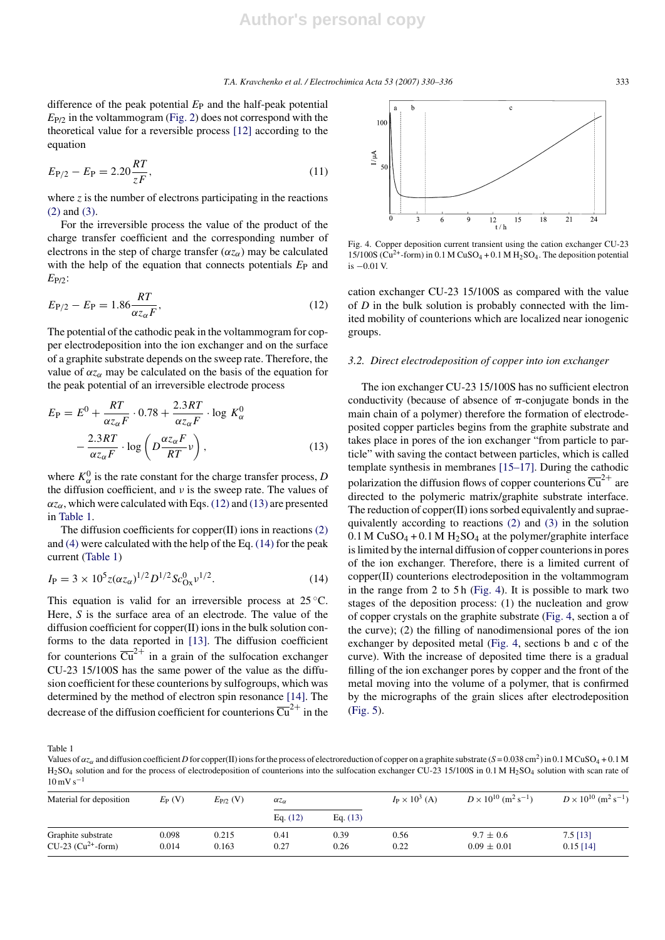difference of the peak potential *E*<sup>P</sup> and the half-peak potential  $E_{P/2}$  in the voltammogram (Fig. 2) does not correspond with the theoretical value for a reversible process [12] according to the equation

$$
E_{\rm P/2} - E_{\rm P} = 2.20 \frac{RT}{zF},\tag{11}
$$

where *z* is the number of electrons participating in the reactions (2) and (3).

For the irreversible process the value of the product of the charge transfer coefficient and the corresponding number of electrons in the step of charge transfer  $(\alpha z_{\alpha})$  may be calculated with the help of the equation that connects potentials  $E_P$  and *E*P/2:

$$
E_{P/2} - E_P = 1.86 \frac{RT}{\alpha z_{\alpha} F},
$$
\n(12)

The potential of the cathodic peak in the voltammogram for copper electrodeposition into the ion exchanger and on the surface of a graphite substrate depends on the sweep rate. Therefore, the value of  $\alpha z_{\alpha}$  may be calculated on the basis of the equation for the peak potential of an irreversible electrode process

$$
E_{\rm P} = E^0 + \frac{RT}{\alpha z_{\alpha} F} \cdot 0.78 + \frac{2.3RT}{\alpha z_{\alpha} F} \cdot \log K_{\alpha}^0
$$

$$
- \frac{2.3RT}{\alpha z_{\alpha} F} \cdot \log \left( D \frac{\alpha z_{\alpha} F}{RT} \nu \right), \qquad (13)
$$

where  $K_{\alpha}^{0}$  is the rate constant for the charge transfer process, *D* the diffusion coefficient, and  $\nu$  is the sweep rate. The values of  $\alpha z_{\alpha}$ , which were calculated with Eqs. (12) and (13) are presented in Table 1.

The diffusion coefficients for copper(II) ions in reactions (2) and (4) were calculated with the help of the Eq. (14) for the peak current (Table 1)

$$
I_{\rm P} = 3 \times 10^5 z (\alpha z_{\alpha})^{1/2} D^{1/2} S c_{\rm Ox}^0 \nu^{1/2}.
$$
 (14)

This equation is valid for an irreversible process at  $25^{\circ}$ C. Here, *S* is the surface area of an electrode. The value of the diffusion coefficient for copper(II) ions in the bulk solution conforms to the data reported in [13]. The diffusion coefficient for counterions  $\overline{Cu}^{2+}$  in a grain of the sulfocation exchanger CU-23 15/100S has the same power of the value as the diffusion coefficient for these counterions by sulfogroups, which was determined by the method of electron spin resonance [14]. The decrease of the diffusion coefficient for counterions  $\overline{Cu}^{2+}$  in the



Fig. 4. Copper deposition current transient using the cation exchanger CU-23 15/100S ( $Cu^{2+}$ -form) in 0.1 M CuSO<sub>4</sub> + 0.1 M H<sub>2</sub>SO<sub>4</sub>. The deposition potential is −0.01 V.

cation exchanger CU-23 15/100S as compared with the value of *D* in the bulk solution is probably connected with the limited mobility of counterions which are localized near ionogenic groups.

#### *3.2. Direct electrodeposition of copper into ion exchanger*

The ion exchanger CU-23 15/100S has no sufficient electron conductivity (because of absence of  $\pi$ -conjugate bonds in the main chain of a polymer) therefore the formation of electrodeposited copper particles begins from the graphite substrate and takes place in pores of the ion exchanger "from particle to particle" with saving the contact between particles, which is called template synthesis in membranes [15–17]. During the cathodic polarization the diffusion flows of copper counterions  $\overline{\text{Cu}}^{2+}$  are directed to the polymeric matrix/graphite substrate interface. The reduction of copper(II) ions sorbed equivalently and supraequivalently according to reactions (2) and (3) in the solution  $0.1$  M CuSO<sub>4</sub> + 0.1 M H<sub>2</sub>SO<sub>4</sub> at the polymer/graphite interface is limited by the internal diffusion of copper counterions in pores of the ion exchanger. Therefore, there is a limited current of copper(II) counterions electrodeposition in the voltammogram in the range from 2 to 5 h (Fig. 4). It is possible to mark two stages of the deposition process: (1) the nucleation and grow of copper crystals on the graphite substrate (Fig. 4, section a of the curve); (2) the filling of nanodimensional pores of the ion exchanger by deposited metal (Fig. 4, sections b and c of the curve). With the increase of deposited time there is a gradual filling of the ion exchanger pores by copper and the front of the metal moving into the volume of a polymer, that is confirmed by the micrographs of the grain slices after electrodeposition (Fig. 5).

Table 1

Values of α*z*<sub>α</sub> and diffusion coefficient *D* for copper(II) ions for the process of electroreduction of copper on a graphite substrate (*S* = 0.038 cm<sup>2</sup>) in 0.1 M CuSO<sub>4</sub> + 0.1 M  $H<sub>2</sub>SO<sub>4</sub>$  solution and for the process of electrodeposition of counterions into the sulfocation exchanger CU-23 15/100S in 0.1 M  $H<sub>2</sub>SO<sub>4</sub>$  solution with scan rate of  $10\,\mathrm{mV\,s^{-1}}$ 

| Material for deposition | $E_P(V)$ | $E_{P/2}$ (V) | $\alpha z_{\alpha}$ |            | $I_P \times 10^3$ (A) | $D \times 10^{10}$ (m <sup>2</sup> s <sup>-1</sup> ) | $D \times 10^{10}$ (m <sup>2</sup> s <sup>-1</sup> ) |
|-------------------------|----------|---------------|---------------------|------------|-----------------------|------------------------------------------------------|------------------------------------------------------|
|                         |          |               | Eq. $(12)$          | Eq. $(13)$ |                       |                                                      |                                                      |
| Graphite substrate      | 0.098    | 0.215         | 0.41                | 0.39       | 0.56                  | $9.7 \pm 0.6$                                        | $7.5$ [13]                                           |
| $CU-23$ ( $Cu2+$ -form) | 0.014    | 0.163         | 0.27                | 0.26       | 0.22                  | $0.09 \pm 0.01$                                      | $0.15$ [14]                                          |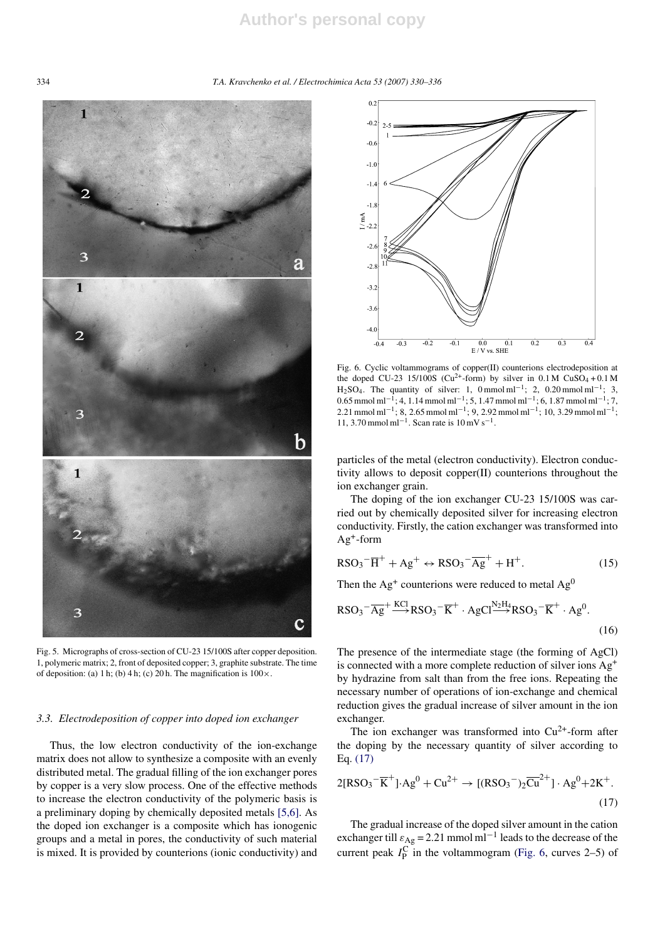# **Author's personal copy**

334 *T.A. Kravchenko et al. / Electrochimica Acta 53 (2007) 330–336*



Fig. 5. Micrographs of cross-section of CU-23 15/100S after copper deposition. 1, polymeric matrix; 2, front of deposited copper; 3, graphite substrate. The time of deposition: (a) 1 h; (b) 4 h; (c) 20 h. The magnification is  $100 \times$ .

#### *3.3. Electrodeposition of copper into doped ion exchanger*

Thus, the low electron conductivity of the ion-exchange matrix does not allow to synthesize a composite with an evenly distributed metal. The gradual filling of the ion exchanger pores by copper is a very slow process. One of the effective methods to increase the electron conductivity of the polymeric basis is a preliminary doping by chemically deposited metals [5,6]. As the doped ion exchanger is a composite which has ionogenic groups and a metal in pores, the conductivity of such material is mixed. It is provided by counterions (ionic conductivity) and



Fig. 6. Cyclic voltammograms of copper(II) counterions electrodeposition at the doped CU-23 15/100S (Cu<sup>2+</sup>-form) by silver in  $0.1 M$  CuSO<sub>4</sub> +  $0.1 M$  $H<sub>2</sub>SO<sub>4</sub>$ . The quantity of silver: 1, 0 mmol ml<sup>-1</sup>; 2, 0.20 mmol ml<sup>-1</sup>; 3, 0.65 mmol ml<sup>-1</sup>; 4, 1.14 mmol ml<sup>-1</sup>; 5, 1.47 mmol ml<sup>-1</sup>; 6, 1.87 mmol ml<sup>-1</sup>; 7, 2.21 mmol ml−1; 8, 2.65 mmol ml−1; 9, 2.92 mmol ml−1; 10, 3.29 mmol ml−1; 11, 3.70 mmol ml<sup>-1</sup>. Scan rate is  $10 \text{ mV s}^{-1}$ .

particles of the metal (electron conductivity). Electron conductivity allows to deposit copper(II) counterions throughout the ion exchanger grain.

The doping of the ion exchanger CU-23 15/100S was carried out by chemically deposited silver for increasing electron conductivity. Firstly, the cation exchanger was transformed into  $Ag^+$ -form

$$
RSO_3^{-}\overline{H}^+ + Ag^+ \leftrightarrow RSO_3^{-}\overline{Ag}^+ + H^+. \tag{15}
$$

Then the  $Ag<sup>+</sup>$  counterions were reduced to metal  $Ag<sup>0</sup>$ 

$$
RSO_3 \nightharpoonup \nightharpoonup RS \nightharpoonup RSO_3 \nightharpoonup \nightharpoonup K^+ \cdot AgCl \nightharpoonup \nightharpoonup RSO_3 \nightharpoonup \nightharpoonup K^+ \cdot Ag^0. \nightharpoonup (16)
$$

The presence of the intermediate stage (the forming of AgCl) is connected with a more complete reduction of silver ions Ag<sup>+</sup> by hydrazine from salt than from the free ions. Repeating the necessary number of operations of ion-exchange and chemical reduction gives the gradual increase of silver amount in the ion exchanger.

The ion exchanger was transformed into  $Cu^{2+}$ -form after the doping by the necessary quantity of silver according to Eq. (17)

$$
2[RSO_3^- \overline{K}^+] \cdot Ag^0 + Cu^{2+} \rightarrow [(RSO_3^-)_2 \overline{Cu}^{2+}] \cdot Ag^0 + 2K^+.
$$
\n(17)

The gradual increase of the doped silver amount in the cation exchanger till  $\varepsilon_{\text{Ag}}$  = 2.21 mmol ml<sup>-1</sup> leads to the decrease of the current peak  $I_P^C$  in the voltammogram (Fig. 6, curves 2–5) of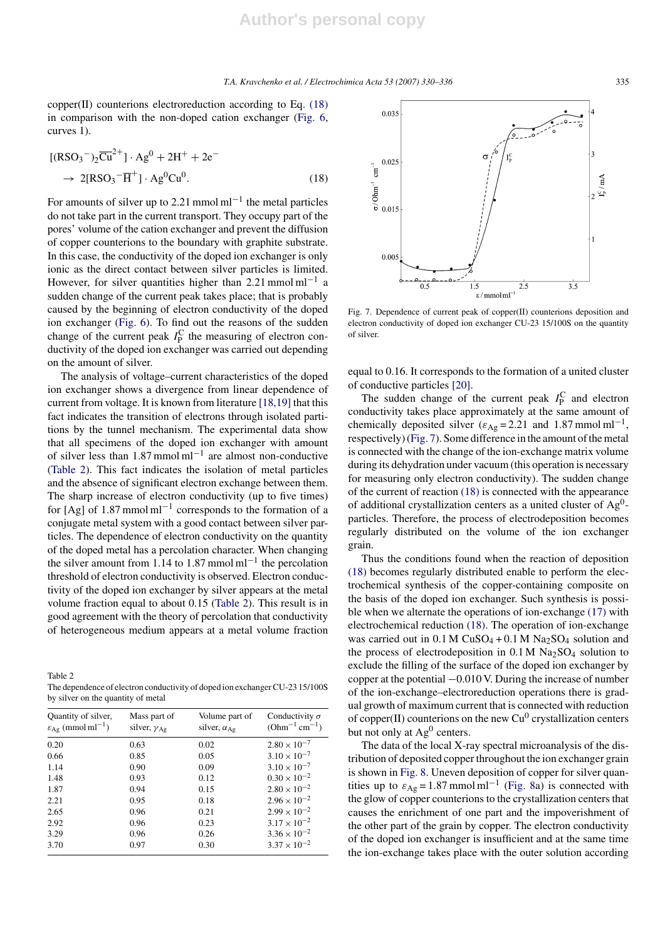copper(II) counterions electroreduction according to Eq. (18) in comparison with the non-doped cation exchanger (Fig. 6, curves 1).

$$
[(RSO3-)2\overline{Cu}2+]·Ag0 + 2H+ + 2e-
$$
  
\n
$$
\rightarrow 2[RSO3-\overline{H}+] \cdot Ag0Cu0.
$$
 (18)

For amounts of silver up to 2.21 mmol ml<sup> $-1$ </sup> the metal particles do not take part in the current transport. They occupy part of the pores' volume of the cation exchanger and prevent the diffusion of copper counterions to the boundary with graphite substrate. In this case, the conductivity of the doped ion exchanger is only ionic as the direct contact between silver particles is limited. However, for silver quantities higher than 2.21 mmol ml<sup>-1</sup> a sudden change of the current peak takes place; that is probably caused by the beginning of electron conductivity of the doped ion exchanger (Fig. 6). To find out the reasons of the sudden change of the current peak  $I_P^C$  the measuring of electron conductivity of the doped ion exchanger was carried out depending on the amount of silver.

The analysis of voltage–current characteristics of the doped ion exchanger shows a divergence from linear dependence of current from voltage. It is known from literature [18,19] that this fact indicates the transition of electrons through isolated partitions by the tunnel mechanism. The experimental data show that all specimens of the doped ion exchanger with amount of silver less than  $1.87$  mmol ml<sup>-1</sup> are almost non-conductive (Table 2). This fact indicates the isolation of metal particles and the absence of significant electron exchange between them. The sharp increase of electron conductivity (up to five times) for [Ag] of 1.87 mmol ml<sup>-1</sup> corresponds to the formation of a conjugate metal system with a good contact between silver particles. The dependence of electron conductivity on the quantity of the doped metal has a percolation character. When changing the silver amount from 1.14 to 1.87 mmol ml−<sup>1</sup> the percolation threshold of electron conductivity is observed. Electron conductivity of the doped ion exchanger by silver appears at the metal volume fraction equal to about 0.15 (Table 2). This result is in good agreement with the theory of percolation that conductivity of heterogeneous medium appears at a metal volume fraction

Table 2 The dependence of electron conductivity of doped ion exchanger CU-23 15/100S by silver on the quantity of metal

| Quantity of silver,<br>$\varepsilon_{\text{Ag}}$ (mmol ml <sup>-1</sup> ) | Mass part of<br>silver, $\gamma_{\text{Ag}}$ | Volume part of<br>silver, $\alpha_{Ag}$ | Conductivity $\sigma$<br>$(Ohm^{-1}cm^{-1})$ |
|---------------------------------------------------------------------------|----------------------------------------------|-----------------------------------------|----------------------------------------------|
| 0.20                                                                      | 0.63                                         | 0.02                                    | $2.80 \times 10^{-7}$                        |
| 0.66                                                                      | 0.85                                         | 0.05                                    | $3.10 \times 10^{-7}$                        |
| 1.14                                                                      | 0.90                                         | 0.09                                    | $3.10 \times 10^{-7}$                        |
| 1.48                                                                      | 0.93                                         | 0.12                                    | $0.30 \times 10^{-2}$                        |
| 1.87                                                                      | 0.94                                         | 0.15                                    | $2.80 \times 10^{-2}$                        |
| 2.21                                                                      | 0.95                                         | 0.18                                    | $2.96 \times 10^{-2}$                        |
| 2.65                                                                      | 0.96                                         | 0.21                                    | $2.99 \times 10^{-2}$                        |
| 2.92                                                                      | 0.96                                         | 0.23                                    | $3.17 \times 10^{-2}$                        |
| 3.29                                                                      | 0.96                                         | 0.26                                    | $3.36 \times 10^{-2}$                        |
| 3.70                                                                      | 0.97                                         | 0.30                                    | $3.37 \times 10^{-2}$                        |



Fig. 7. Dependence of current peak of copper(II) counterions deposition and electron conductivity of doped ion exchanger CU-23 15/100S on the quantity of silver.

equal to 0.16. It corresponds to the formation of a united cluster of conductive particles [20].

The sudden change of the current peak  $I_P^C$  and electron conductivity takes place approximately at the same amount of chemically deposited silver ( $\varepsilon_{\text{Ag}}$  = 2.21 and 1.87 mmol ml<sup>-1</sup>, respectively) (Fig. 7). Some difference in the amount of the metal is connected with the change of the ion-exchange matrix volume during its dehydration under vacuum (this operation is necessary for measuring only electron conductivity). The sudden change of the current of reaction (18) is connected with the appearance of additional crystallization centers as a united cluster of Ag0 particles. Therefore, the process of electrodeposition becomes regularly distributed on the volume of the ion exchanger grain.

Thus the conditions found when the reaction of deposition (18) becomes regularly distributed enable to perform the electrochemical synthesis of the copper-containing composite on the basis of the doped ion exchanger. Such synthesis is possible when we alternate the operations of ion-exchange (17) with electrochemical reduction (18). The operation of ion-exchange was carried out in  $0.1 M C$ uSO<sub>4</sub> +  $0.1 M N$ a<sub>2</sub>SO<sub>4</sub> solution and the process of electrodeposition in  $0.1 M Na<sub>2</sub>SO<sub>4</sub>$  solution to exclude the filling of the surface of the doped ion exchanger by copper at the potential −0.010 V. During the increase of number of the ion-exchange–electroreduction operations there is gradual growth of maximum current that is connected with reduction of copper(II) counterions on the new  $Cu^{0}$  crystallization centers but not only at  $Ag<sup>0</sup>$  centers.

The data of the local X-ray spectral microanalysis of the distribution of deposited copper throughout the ion exchanger grain is shown in Fig. 8. Uneven deposition of copper for silver quantities up to  $\varepsilon_{\text{Ag}}$  = 1.87 mmol ml<sup>-1</sup> (Fig. 8a) is connected with the glow of copper counterions to the crystallization centers that causes the enrichment of one part and the impoverishment of the other part of the grain by copper. The electron conductivity of the doped ion exchanger is insufficient and at the same time the ion-exchange takes place with the outer solution according